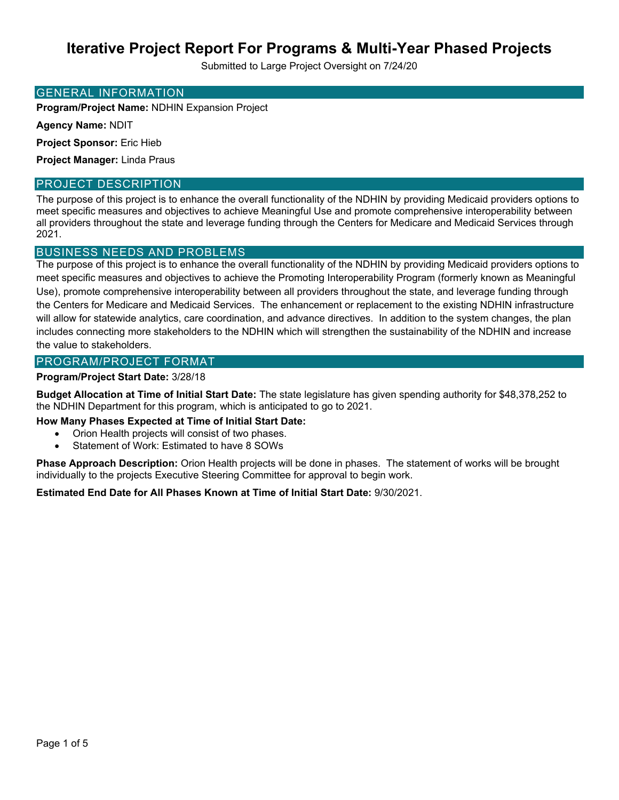Submitted to Large Project Oversight on 7/24/20

#### GENERAL INFORMATION

**Program/Project Name:** NDHIN Expansion Project

**Agency Name:** NDIT

**Project Sponsor:** Eric Hieb

**Project Manager:** Linda Praus

### PROJECT DESCRIPTION

The purpose of this project is to enhance the overall functionality of the NDHIN by providing Medicaid providers options to meet specific measures and objectives to achieve Meaningful Use and promote comprehensive interoperability between all providers throughout the state and leverage funding through the Centers for Medicare and Medicaid Services through 2021.

### BUSINESS NEEDS AND PROBLEMS

The purpose of this project is to enhance the overall functionality of the NDHIN by providing Medicaid providers options to meet specific measures and objectives to achieve the Promoting Interoperability Program (formerly known as Meaningful Use), promote comprehensive interoperability between all providers throughout the state, and leverage funding through the Centers for Medicare and Medicaid Services. The enhancement or replacement to the existing NDHIN infrastructure will allow for statewide analytics, care coordination, and advance directives. In addition to the system changes, the plan includes connecting more stakeholders to the NDHIN which will strengthen the sustainability of the NDHIN and increase the value to stakeholders.

#### PROGRAM/PROJECT FORMAT

#### **Program/Project Start Date:** 3/28/18

**Budget Allocation at Time of Initial Start Date:** The state legislature has given spending authority for \$48,378,252 to the NDHIN Department for this program, which is anticipated to go to 2021.

**How Many Phases Expected at Time of Initial Start Date:** 

- Orion Health projects will consist of two phases.
- Statement of Work: Estimated to have 8 SOWs

**Phase Approach Description:** Orion Health projects will be done in phases. The statement of works will be brought individually to the projects Executive Steering Committee for approval to begin work.

**Estimated End Date for All Phases Known at Time of Initial Start Date:** 9/30/2021.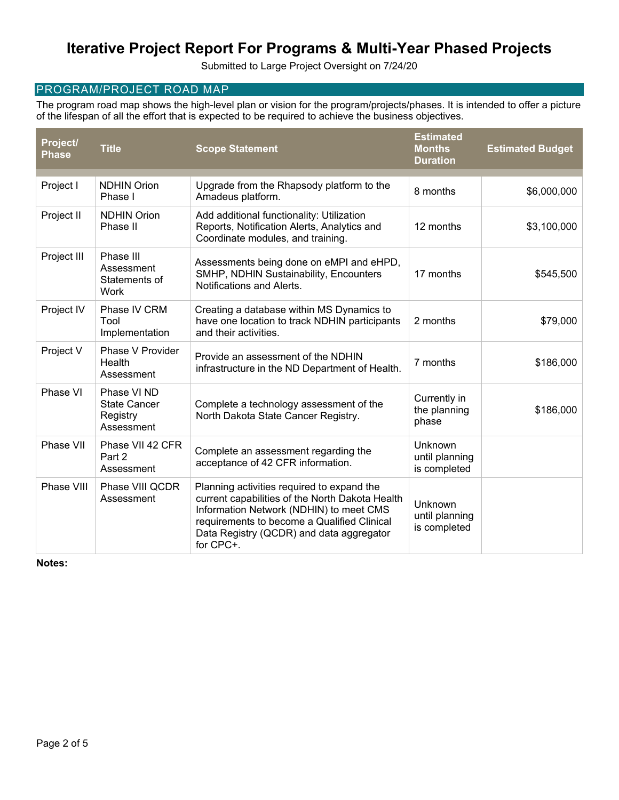Submitted to Large Project Oversight on 7/24/20

## PROGRAM/PROJECT ROAD MAP

The program road map shows the high-level plan or vision for the program/projects/phases. It is intended to offer a picture of the lifespan of all the effort that is expected to be required to achieve the business objectives.

| Project/<br><b>Phase</b> | <b>Title</b>                                                 | <b>Scope Statement</b>                                                                                                                                                                                                                           | <b>Estimated</b><br><b>Months</b><br><b>Duration</b> | <b>Estimated Budget</b> |
|--------------------------|--------------------------------------------------------------|--------------------------------------------------------------------------------------------------------------------------------------------------------------------------------------------------------------------------------------------------|------------------------------------------------------|-------------------------|
| Project I                | <b>NDHIN Orion</b><br>Phase I                                | Upgrade from the Rhapsody platform to the<br>Amadeus platform.                                                                                                                                                                                   | 8 months                                             | \$6,000,000             |
| Project II               | <b>NDHIN Orion</b><br>Phase II                               | Add additional functionality: Utilization<br>Reports, Notification Alerts, Analytics and<br>12 months<br>Coordinate modules, and training.                                                                                                       |                                                      | \$3,100,000             |
| Project III              | Phase III<br>Assessment<br>Statements of<br>Work             | Assessments being done on eMPI and eHPD,<br>SMHP, NDHIN Sustainability, Encounters<br>Notifications and Alerts.                                                                                                                                  | 17 months                                            | \$545,500               |
| Project IV               | Phase IV CRM<br>Tool<br>Implementation                       | Creating a database within MS Dynamics to<br>have one location to track NDHIN participants<br>and their activities.                                                                                                                              | 2 months                                             | \$79,000                |
| Project V                | Phase V Provider<br>Health<br>Assessment                     | Provide an assessment of the NDHIN<br>infrastructure in the ND Department of Health.                                                                                                                                                             | 7 months                                             | \$186,000               |
| Phase VI                 | Phase VI ND<br><b>State Cancer</b><br>Registry<br>Assessment | Complete a technology assessment of the<br>North Dakota State Cancer Registry.                                                                                                                                                                   | Currently in<br>the planning<br>phase                | \$186,000               |
| Phase VII                | Phase VII 42 CFR<br>Part 2<br>Assessment                     | Complete an assessment regarding the<br>acceptance of 42 CFR information.                                                                                                                                                                        | Unknown<br>until planning<br>is completed            |                         |
| Phase VIII               | Phase VIII QCDR<br>Assessment                                | Planning activities required to expand the<br>current capabilities of the North Dakota Health<br>Information Network (NDHIN) to meet CMS<br>requirements to become a Qualified Clinical<br>Data Registry (QCDR) and data aggregator<br>for CPC+. | Unknown<br>until planning<br>is completed            |                         |

**Notes:**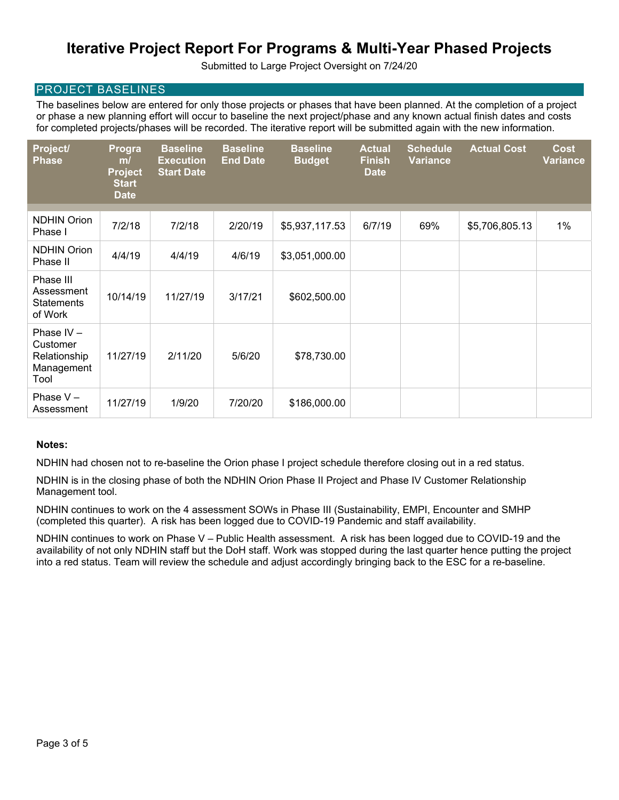Submitted to Large Project Oversight on 7/24/20

### PROJECT BASELINES

The baselines below are entered for only those projects or phases that have been planned. At the completion of a project or phase a new planning effort will occur to baseline the next project/phase and any known actual finish dates and costs for completed projects/phases will be recorded. The iterative report will be submitted again with the new information.

| Project/<br><b>Phase</b>                                       | Progra<br>m/<br><b>Project</b><br><b>Start</b><br><b>Date</b> | <b>Baseline</b><br><b>Execution</b><br><b>Start Date</b> | <b>Baseline</b><br><b>End Date</b> | <b>Baseline</b><br><b>Budget</b> | <b>Actual</b><br><b>Finish</b><br><b>Date</b> | <b>Schedule</b><br><b>Variance</b> | <b>Actual Cost</b> | <b>Cost</b><br><b>Variance</b> |
|----------------------------------------------------------------|---------------------------------------------------------------|----------------------------------------------------------|------------------------------------|----------------------------------|-----------------------------------------------|------------------------------------|--------------------|--------------------------------|
| <b>NDHIN Orion</b><br>Phase I                                  | 7/2/18                                                        | 7/2/18                                                   | 2/20/19                            | \$5,937,117.53                   | 6/7/19                                        | 69%                                | \$5,706,805.13     | $1\%$                          |
| <b>NDHIN Orion</b><br>Phase II                                 | 4/4/19                                                        | 4/4/19                                                   | 4/6/19                             | \$3,051,000.00                   |                                               |                                    |                    |                                |
| Phase III<br>Assessment<br><b>Statements</b><br>of Work        | 10/14/19                                                      | 11/27/19                                                 | 3/17/21                            | \$602,500.00                     |                                               |                                    |                    |                                |
| Phase $IV -$<br>Customer<br>Relationship<br>Management<br>Tool | 11/27/19                                                      | 2/11/20                                                  | 5/6/20                             | \$78,730.00                      |                                               |                                    |                    |                                |
| Phase $V -$<br>Assessment                                      | 11/27/19                                                      | 1/9/20                                                   | 7/20/20                            | \$186,000.00                     |                                               |                                    |                    |                                |

#### **Notes:**

NDHIN had chosen not to re-baseline the Orion phase I project schedule therefore closing out in a red status.

NDHIN is in the closing phase of both the NDHIN Orion Phase II Project and Phase IV Customer Relationship Management tool.

NDHIN continues to work on the 4 assessment SOWs in Phase III (Sustainability, EMPI, Encounter and SMHP (completed this quarter). A risk has been logged due to COVID-19 Pandemic and staff availability.

NDHIN continues to work on Phase V – Public Health assessment. A risk has been logged due to COVID-19 and the availability of not only NDHIN staff but the DoH staff. Work was stopped during the last quarter hence putting the project into a red status. Team will review the schedule and adjust accordingly bringing back to the ESC for a re-baseline.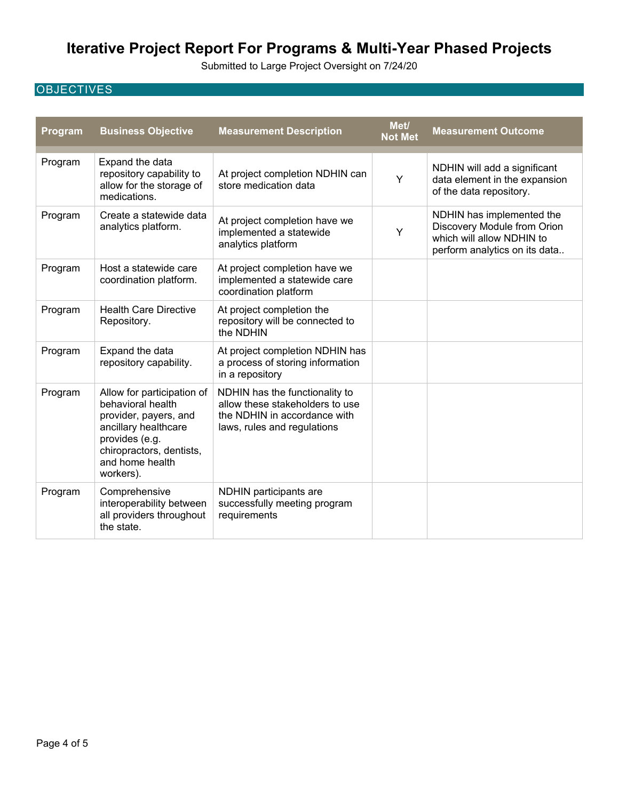Submitted to Large Project Oversight on 7/24/20

# **OBJECTIVES**

| Program | <b>Business Objective</b>                                                                                                                                                      | <b>Measurement Description</b>                                                                                                   | Met/<br><b>Not Met</b> | <b>Measurement Outcome</b>                                                                                             |
|---------|--------------------------------------------------------------------------------------------------------------------------------------------------------------------------------|----------------------------------------------------------------------------------------------------------------------------------|------------------------|------------------------------------------------------------------------------------------------------------------------|
| Program | Expand the data<br>repository capability to<br>allow for the storage of<br>medications.                                                                                        | At project completion NDHIN can<br>store medication data                                                                         | Y                      | NDHIN will add a significant<br>data element in the expansion<br>of the data repository.                               |
| Program | Create a statewide data<br>analytics platform.                                                                                                                                 | At project completion have we<br>implemented a statewide<br>analytics platform                                                   | Y                      | NDHIN has implemented the<br>Discovery Module from Orion<br>which will allow NDHIN to<br>perform analytics on its data |
| Program | Host a statewide care<br>coordination platform.                                                                                                                                | At project completion have we<br>implemented a statewide care<br>coordination platform                                           |                        |                                                                                                                        |
| Program | <b>Health Care Directive</b><br>Repository.                                                                                                                                    | At project completion the<br>repository will be connected to<br>the NDHIN                                                        |                        |                                                                                                                        |
| Program | Expand the data<br>repository capability.                                                                                                                                      | At project completion NDHIN has<br>a process of storing information<br>in a repository                                           |                        |                                                                                                                        |
| Program | Allow for participation of<br>behavioral health<br>provider, payers, and<br>ancillary healthcare<br>provides (e.g.<br>chiropractors, dentists,<br>and home health<br>workers). | NDHIN has the functionality to<br>allow these stakeholders to use<br>the NDHIN in accordance with<br>laws, rules and regulations |                        |                                                                                                                        |
| Program | Comprehensive<br>interoperability between<br>all providers throughout<br>the state.                                                                                            | NDHIN participants are<br>successfully meeting program<br>requirements                                                           |                        |                                                                                                                        |